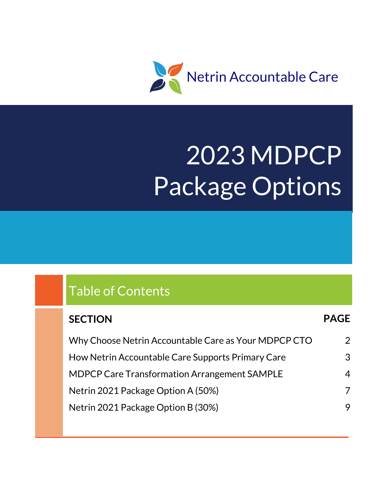

# 2023 MDPCP Package Options

# Table of Contents

## **SECTION PAGE** Why Choose Netrin Accountable Care as Your MDPCP CTO How Netrin Accountable Care Supports Primary Care MDPCP Care Transformation Arrangement SAMPLE Netrin 2021 Package Option A (50%) Netrin 2021 Package Option B (30%) 2 3 4 7 9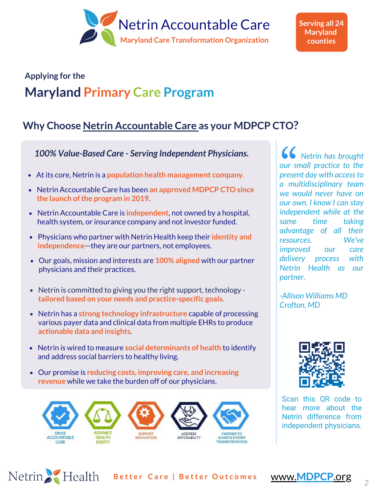

**Serving all 24 Maryland counties**

## **Applying for the Maryland Primary Care Program**

## **Why Choose Netrin Accountable Care as your MDPCP CTO?**

*100% Value-Based Care - Serving Independent Physicians.*

- At its core, Netrin is a **population health management company**.  $\bullet$
- Netrin Accountable Care has been **an approved MDPCP CTO since the launch of the program in 2019**.
- Netrin Accountable Care is **independent**, not owned by a hospital, health system, or insurance company and not investor funded.
- Physicians who partner with Netrin Health keep their **identity and independence**—they are our partners, not employees.
- Our goals, mission and interests are **100% aligned** with our partner physicians and their practices.
- Netrin is committed to giving you the right support, technology **tailored based on your needs and practice-specific goals.**
- Netrin has a **strong technology infrastructure** capable of processing various payer data and clinical data from multiple EHRs to produce **actionable data and insights**.
- Netrin is wired to measure **social determinants of health** to identify and address social barriers to healthy living.
- Our promise is **reducing costs, improving care, and increasing revenue** while we take the burden off of our physicians.

Netrin Health



 *Netrin has brought our small practice to the present day with access to a multidisciplinary team we would never have on our own. I know I can stay independent while at the same time taking advantage of all their resources. We've improved our care delivery process with Netrin Health as our partner.*

*-Allison Williams MD Crofton, MD* 



Scan this QR code to hear more about the Netrin difference from independent physicians.

**B e t t e r C a r e | B e t t e r O u t c o m e s** www.**MDPCP**.org *<sup>2</sup>*

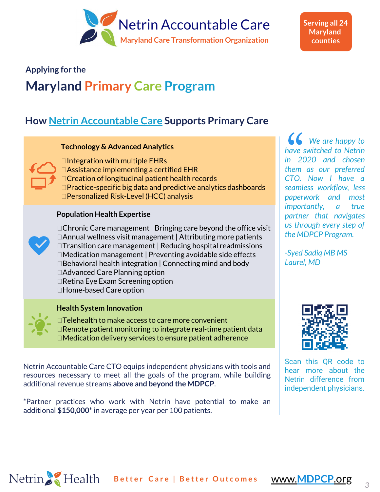

**Serving all 24 Maryland counties**

## **Applying for the**

# **Maryland Primary Care Program**

## **How Netrin Accountable Care Supports Primary Care**

## **Technology & Advanced Analytics**



 $\Box$ Integration with multiple EHRs Assistance implementing a certified EHR □ Creation of longitudinal patient health records Practice-specific big data and predictive analytics dashboards Personalized Risk-Level (HCC) analysis

## **Population Health Expertise**



- $\Box$ Chronic Care management | Bringing care beyond the office visit Annual wellness visit management | Attributing more patients □Transition care management | Reducing hospital readmissions □Medication management | Preventing avoidable side effects  $\Box$  Behavioral health integration | Connecting mind and body Advanced Care Planning option □Retina Eye Exam Screening option Home-based Care option
- 



## **Health System Innovation**

□Telehealth to make access to care more convenient  $\Box$  Remote patient monitoring to integrate real-time patient data Medication delivery services to ensure patient adherence

Netrin Accountable Care CTO equips independent physicians with tools and resources necessary to meet all the goals of the program, while building additional revenue streams **above and beyond the MDPCP**.

\*Partner practices who work with Netrin have potential to make an additional **\$150,000\*** in average per year per 100 patients.

Netrin Health Better Care | Better Outcomes www.MDPCP.org

 *We are happy to have switched to Netrin in 2020 and chosen them as our preferred CTO. Now I have a seamless workflow, less paperwork and most importantly, a true partner that navigates us through every step of the MDPCP Program.*

*-Syed Sadiq MB MS Laurel, MD*



Scan this QR code to hear more about the Netrin difference from independent physicians.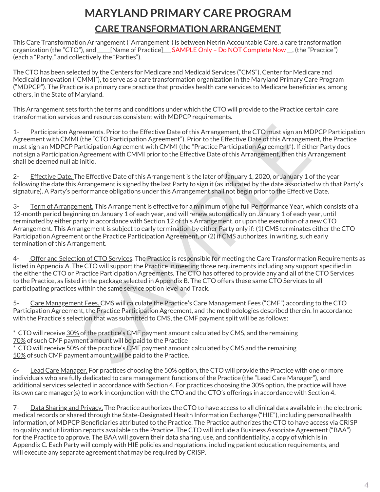# **MARYLAND PRIMARY CARE PROGRAM CARE TRANSFORMATION ARRANGEMENT**

This Care Transformation Arrangement ("Arrangement") is between Netrin Accountable Care, a care transformation organization (the "CTO"), and \_\_\_\_\_[Name of Practice]\_\_\_ SAMPLE Only – Do NOT Complete Now \_\_, (the "Practice") (each a "Party," and collectively the "Parties").

The CTO has been selected by the Centers for Medicare and Medicaid Services ("CMS"), Center for Medicare and Medicaid Innovation ("CMMI"), to serve as a care transformation organization in the Maryland Primary Care Program ("MDPCP"). The Practice is a primary care practice that provides health care services to Medicare beneficiaries, among others, in the State of Maryland.

This Arrangement sets forth the terms and conditions under which the CTO will provide to the Practice certain care transformation services and resources consistent with MDPCP requirements.

1- Participation Agreements. Prior to the Effective Date of this Arrangement, the CTO must sign an MDPCP Participation Agreement with CMMI (the "CTO Participation Agreement"). Prior to the Effective Date of this Arrangement, the Practice must sign an MDPCP Participation Agreement with CMMI (the "Practice Participation Agreement"). If either Party does not sign a Participation Agreement with CMMI prior to the Effective Date of this Arrangement, then this Arrangement shall be deemed null ab initio.

2- Effective Date. The Effective Date of this Arrangement is the later of January 1, 2020, or January 1 of the year following the date this Arrangement is signed by the last Party to sign it (as indicated by the date associated with that Party's signature). A Party's performance obligations under this Arrangement shall not begin prior to the Effective Date.

reements. Prior to the Effective Date of this Arrangement, the CTO must sign an MDPCP (If the "CTO Participation Agreement"). Prior to the Effective Date of this Arrangement, the Influenting in the CTO Participation Agreem 3- Term of Arrangement. This Arrangement is effective for a minimum of one full Performance Year, which consists of a 12-month period beginning on January 1 of each year, and will renew automatically on January 1 of each year, until terminated by either party in accordance with Section 12 of this Arrangement, or upon the execution of a new CTO Arrangement. This Arrangement is subject to early termination by either Party only if: (1) CMS terminates either the CTO Participation Agreement or the Practice Participation Agreement, or (2) if CMS authorizes, in writing, such early termination of this Arrangement.

4- Offer and Selection of CTO Services. The Practice is responsible for meeting the Care Transformation Requirements as listed in Appendix A. The CTO will support the Practice in meeting those requirements including any support specified in the either the CTO or Practice Participation Agreements. The CTO has offered to provide any and all of the CTO Services to the Practice, as listed in the package selected in Appendix B. The CTO offers these same CTO Services to all participating practices within the same service option level and Track.

5- Care Management Fees. CMS will calculate the Practice's Care Management Fees ("CMF") according to the CTO Participation Agreement, the Practice Participation Agreement, and the methodologies described therein. In accordance with the Practice's selection that was submitted to CMS, the CMF payment split will be as follows:

\* CTO will receive 30% of the practice's CMF payment amount calculated by CMS, and the remaining 70% of such CMF payment amount will be paid to the Practice \* CTO will receive 50% of the practice's CMF payment amount calculated by CMS and the remaining 50% of such CMF payment amount will be paid to the Practice.

6- Lead Care Manager. For practices choosing the 50% option, the CTO will provide the Practice with one or more individuals who are fully dedicated to care management functions of the Practice (the "Lead Care Manager"), and additional services selected in accordance with Section 4. For practices choosing the 30% option, the practice will have its own care manager(s) to work in conjunction with the CTO and the CTO's offerings in accordance with Section 4.

7- Data Sharing and Privacy. The Practice authorizes the CTO to have access to all clinical data available in the electronic medical records or shared through the State-Designated Health Information Exchange ("HIE"), including personal health information, of MDPCP Beneficiaries attributed to the Practice. The Practice authorizes the CTO to have access via CRISP to quality and utilization reports available to the Practice. The CTO will include a Business Associate Agreement ("BAA") for the Practice to approve. The BAA will govern their data sharing, use, and confidentiality, a copy of which is in Appendix C. Each Party will comply with HIE policies and regulations, including patient education requirements, and will execute any separate agreement that may be required by CRISP.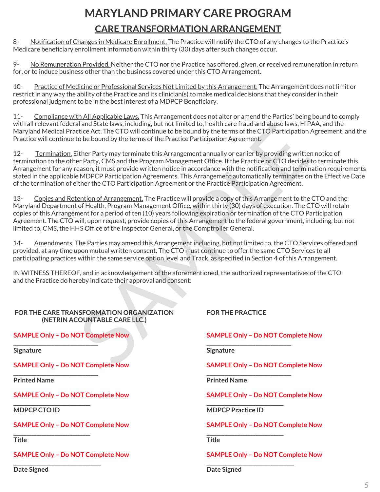# **MARYLAND PRIMARY CARE PROGRAM CARE TRANSFORMATION ARRANGEMENT**

8- Notification of Changes in Medicare Enrollment. The Practice will notify the CTO of any changes to the Practice's Medicare beneficiary enrollment information within thirty (30) days after such changes occur.

No Remuneration Provided. Neither the CTO nor the Practice has offered, given, or received remuneration in return for, or to induce business other than the business covered under this CTO Arrangement.

10- Practice of Medicine or Professional Services Not Limited by this Arrangement. The Arrangement does not limit or restrict in any way the ability of the Practice and its clinician(s) to make medical decisions that they consider in their professional judgment to be in the best interest of a MDPCP Beneficiary.

11- Compliance with All Applicable Laws. This Arrangement does not alter or amend the Parties' being bound to comply with all relevant federal and State laws, including, but not limited to, health care fraud and abuse laws, HIPAA, and the Maryland Medical Practice Act. The CTO will continue to be bound by the terms of the CTO Participation Agreement, and the Practice will continue to be bound by the terms of the Practice Participation Agreement.

12- Termination. Either Party may terminate this Arrangement annually or earlier by providing written notice of termination to the other Party, CMS and the Program Management Office. If the Practice or CTO decides to terminate this Arrangement for any reason, it must provide written notice in accordance with the notification and termination requirements stated in the applicable MDPCP Participation Agreements. This Arrangement automatically terminates on the Effective Date of the termination of either the CTO Participation Agreement or the Practice Participation Agreement.

13- Copies and Retention of Arrangement. The Practice will provide a copy of this Arrangement to the CTO and the Maryland Department of Health, Program Management Office, within thirty (30) days of execution. The CTO will retain copies of this Arrangement for a period of ten (10) years following expiration or termination of the CTO Participation Agreement. The CTO will, upon request, provide copies of this Arrangement to the federal government, including, but not limited to, CMS, the HHS Office of the Inspector General, or the Comptroller General.

14- Amendments. The Parties may amend this Arrangement including, but not limited to, the CTO Services offered and provided, at any time upon mutual written consent. The CTO must continue to offer the same CTO Services to all participating practices within the same service option level and Track, as specified in Section 4 of this Arrangement.

IN WITNESS THEREOF, and in acknowledgement of the aforementioned, the authorized representatives of the CTO and the Practice do hereby indicate their approval and consent:

## al and state laws, including, but hot limited to, health care fraid and abuse it and state and the bound by the terms of the CTO Participation Agreement<br>citie Act. The CTO will continue to be bound by the terms of the CTO **FOR THE CARE TRANSFORMATION ORGANIZATION (NETRIN ACOUNTABLE CARE LLC.) SAMPLE Only – Do NOT Complete Now \_\_\_\_\_\_\_\_\_\_\_\_\_\_\_\_\_\_\_\_\_\_\_\_\_\_\_\_\_\_\_\_\_ Signature SAMPLE Only – Do NOT Complete Now \_\_\_\_\_\_\_\_\_\_\_\_\_\_\_\_\_\_\_\_\_\_\_\_\_\_\_\_\_\_\_\_\_ Printed Name SAMPLE Only – Do NOT Complete Now \_\_\_\_\_\_\_\_\_\_\_\_\_\_\_\_\_\_\_\_\_\_\_\_\_\_\_\_\_\_ MDPCP CTO ID SAMPLE Only – Do NOT Complete Now \_\_\_\_\_\_\_\_\_\_\_\_\_\_\_\_\_\_\_\_\_\_\_\_\_\_\_\_\_\_ Title SAMPLE Only – Do NOT Complete Now \_\_\_\_\_\_\_\_\_\_\_\_\_\_\_\_\_\_\_\_\_\_\_\_\_\_\_\_\_\_\_\_\_\_ Date Signed \_\_\_\_\_\_\_\_\_\_\_\_\_\_\_\_\_\_\_\_\_\_\_\_\_\_\_\_\_\_\_\_\_ Signature \_\_\_\_\_\_\_\_\_\_\_\_\_\_\_\_\_\_\_\_\_\_\_\_\_\_\_\_\_\_\_\_\_ Printed Name \_\_\_\_\_\_\_\_\_\_\_\_\_\_\_\_\_\_\_\_\_\_\_\_\_\_\_\_\_\_ \_\_\_\_\_\_\_\_\_\_\_\_\_\_\_\_\_\_\_\_\_\_\_\_\_\_\_\_\_\_ Title \_\_\_\_\_\_\_\_\_\_\_\_\_\_\_\_\_\_\_\_\_\_\_\_\_\_\_\_\_\_\_\_\_\_ Date Signed**

## **FOR THE PRACTICE**

**SAMPLE Only – Do NOT Complete Now** 

**SAMPLE Only – Do NOT Complete Now**

**SAMPLE Only – Do NOT Complete Now** 

**MDPCP Practice ID**

**SAMPLE Only – Do NOT Complete Now** 

**SAMPLE Only – Do NOT Complete Now**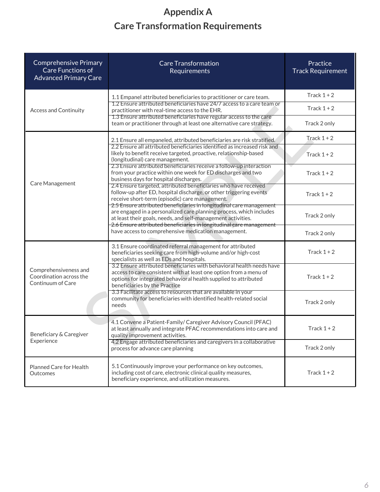## **Appendix A Care Transformation Requirements**

| <b>Comprehensive Primary</b><br><b>Care Functions of</b><br><b>Advanced Primary Care</b> | <b>Care Transformation</b><br>Requirements                                                                                                                                                                                                                                                                                                    | Practice<br><b>Track Requirement</b> |  |
|------------------------------------------------------------------------------------------|-----------------------------------------------------------------------------------------------------------------------------------------------------------------------------------------------------------------------------------------------------------------------------------------------------------------------------------------------|--------------------------------------|--|
|                                                                                          | 1.1 Empanel attributed beneficiaries to practitioner or care team.<br>1.2 Ensure attributed beneficiaries have 24/7 access to a care team or<br>practitioner with real-time access to the EHR.<br>1.3 Ensure attributed beneficiaries have regular access to the care<br>team or practitioner through at least one alternative care strategy. | Track $1+2$                          |  |
| <b>Access and Continuity</b>                                                             |                                                                                                                                                                                                                                                                                                                                               | Track $1+2$                          |  |
|                                                                                          |                                                                                                                                                                                                                                                                                                                                               | Track 2 only                         |  |
|                                                                                          | 2.1 Ensure all empaneled, attributed beneficiaries are risk stratified.                                                                                                                                                                                                                                                                       | Track $1+2$                          |  |
|                                                                                          | 2.2 Ensure all attributed beneficiaries identified as increased risk and<br>likely to benefit receive targeted, proactive, relationship-based<br>(longitudinal) care management.                                                                                                                                                              | Track $1+2$                          |  |
| <b>Care Management</b>                                                                   | 2.3 Ensure attributed beneficiaries receive a follow-up interaction<br>from your practice within one week for ED discharges and two<br>business days for hospital discharges.                                                                                                                                                                 | Track $1+2$                          |  |
|                                                                                          | 2.4 Ensure targeted, attributed beneficiaries who have received<br>follow-up after ED, hospital discharge, or other triggering events<br>receive short-term (episodic) care management.<br>2.5 Ensure attributed beneficiaries in longitudinal care management                                                                                | Track $1+2$                          |  |
|                                                                                          | are engaged in a personalized care planning process, which includes<br>at least their goals, needs, and self-management activities.                                                                                                                                                                                                           | Track 2 only                         |  |
|                                                                                          | 2.6 Ensure attributed beneficiaries in longitudinal care management<br>have access to comprehensive medication management.                                                                                                                                                                                                                    | Track 2 only                         |  |
|                                                                                          | 3.1 Ensure coordinated referral management for attributed<br>beneficiaries seeking care from high-volume and/or high-cost<br>specialists as well as EDs and hospitals.                                                                                                                                                                        | Track $1+2$                          |  |
| Comprehensiveness and<br>Coordination across the<br>Continuum of Care                    | 3.2 Ensure attributed beneficiaries with behavioral health needs have<br>access to care consistent with at least one option from a menu of<br>options for integrated behavioral health supplied to attributed<br>beneficiaries by the Practice                                                                                                | Track $1+2$                          |  |
|                                                                                          | 3.3 Facilitate access to resources that are available in your<br>community for beneficiaries with identified health-related social<br>needs                                                                                                                                                                                                   | Track 2 only                         |  |
| Beneficiary & Caregiver<br>Experience                                                    | 4.1 Convene a Patient-Family/ Caregiver Advisory Council (PFAC)<br>at least annually and integrate PFAC recommendations into care and<br>quality improvement activities.                                                                                                                                                                      | Track $1+2$                          |  |
|                                                                                          | 4.2 Engage attributed beneficiaries and caregivers in a collaborative<br>process for advance care planning                                                                                                                                                                                                                                    | Track 2 only                         |  |
| Planned Care for Health<br>Outcomes                                                      | 5.1 Continuously improve your performance on key outcomes,<br>including cost of care, electronic clinical quality measures,<br>beneficiary experience, and utilization measures.                                                                                                                                                              | Track $1+2$                          |  |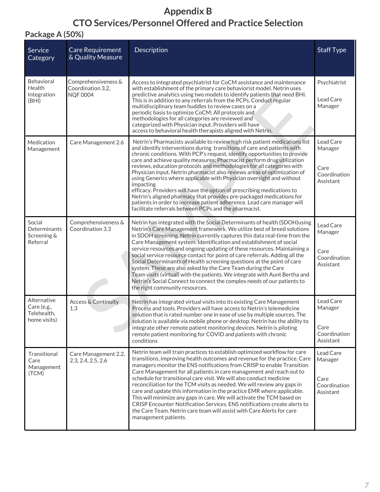## **Appendix B CTO Services/Personnel Offered and Practice Selection**

## **Package A (50%)**

| Service<br>Category                                       | Care Requirement<br>& Quality Measure                       | Description                                                                                                                                                                                                                                                                                                                                                                                                                                                                                                                                                                                                                                                                                                                                                                                                                                    | <b>Staff Type</b>                                         |
|-----------------------------------------------------------|-------------------------------------------------------------|------------------------------------------------------------------------------------------------------------------------------------------------------------------------------------------------------------------------------------------------------------------------------------------------------------------------------------------------------------------------------------------------------------------------------------------------------------------------------------------------------------------------------------------------------------------------------------------------------------------------------------------------------------------------------------------------------------------------------------------------------------------------------------------------------------------------------------------------|-----------------------------------------------------------|
| <b>Behavioral</b><br>Health<br>Integration<br>(BHI)       | Comprehensiveness &<br>Coordination 3.2,<br><b>NQF 0004</b> | Access to integrated psychiatrist for CoCM assistance and maintenance<br>with establishment of the primary care behaviorist model. Netrin uses<br>predictive analytics using two models to identify patients that need BHI.<br>This is in addition to any referrals from the PCPs. Conduct regular<br>multidisciplinary team huddles to review cases on a<br>periodic basis to optimize CoCM; All protocols and<br>methodologies for all categories are reviewed and<br>categorized with Physician input. Providers will have<br>access to behavioral health therapists aligned with Netrin.                                                                                                                                                                                                                                                   | Psychiatrist<br>Lead Care<br>Manager                      |
| Medication<br>Management                                  | Care Management 2.6                                         | Netrin's Pharmacists available to review high risk patient medications list<br>and identify interventions during transitions of care and patients with<br>chronic conditions. With PCP's request, identify opportunities to provide<br>care and achieve quality measures; Pharmacist perform drug utilization<br>reviews, education protocols and methodologies for all categories with<br>Physician input. Netrin pharmacist also reviews areas of optimization of<br>using Generics where applicable with Physician oversight and without<br>impacting<br>efficacy. Providers will have the option of prescribing medications to<br>Netrin's aligned pharmacy that provides pre-packaged medications for<br>patients in order to increase patient adherence. Lead care manager will<br>facilitate referrals between PCPs and the pharmacist. | Lead Care<br>Manager<br>Care<br>Coordination<br>Assistant |
| Social<br>Determinants<br>Screening &<br>Referral         | Comprehensiveness &<br>Coordination 3.3                     | Netrin has integrated with the Social Determinants of health (SDOH) using<br>Netrin's Care Management framework. We utilize best of breed solutions<br>in SDOH screening. Netrin currently captures this data real-time from the<br>Care Management system. Identification and establishment of social<br>service resources and ongoing updating of these resources. Maintaining a<br>social service resource contact for point of care referrals. Adding all the<br>Social Determinants of Health screening questions at the point of care<br>system. These are also asked by the Care Team during the Care<br>Team visits (virtual) with the patients. We integrate with Aunt Bertha and<br>Netrin's Social Connect to connect the complex needs of our patients to<br>the right community resources.                                        | Lead Care<br>Manager<br>Care<br>Coordination<br>Assistant |
| Alternative<br>Care (e.g.,<br>Telehealth.<br>home visits) | <b>Access &amp; Continuity</b><br>1.3                       | Netrin has integrated virtual visits into its existing Care Management<br>Process and tools. Providers will have access to Netrin's telemedicine<br>solution that is rated number one in ease of use by multiple sources. The<br>solution is available via mobile phone or desktop. Netrin has the ability to<br>integrate other remote patient monitoring devices. Netrin is piloting<br>remote patient monitoring for COVID and patients with chronic<br>conditions                                                                                                                                                                                                                                                                                                                                                                          | Lead Care<br>Manager<br>Care<br>Coordination<br>Assistant |
| Transitional<br>Care<br>Management<br>(TCM)               | Care Management 2.2,<br>2.3, 2.4, 2.5, 2.6                  | Netrin team will train practices to establish optimized workflow for care<br>transitions, improving health outcomes and revenue for the practice. Care<br>managers monitor the ENS notifications from CRISP to enable Transition<br>Care Management for all patients in care management and reach out to<br>schedule for transitional care visit. We will also conduct medicine<br>reconciliation for the TCM visits as needed. We will review any gaps in<br>care and update this information in the practice EMR where applicable.<br>This will minimize any gaps in care. We will activate the TCM based on<br>CRISP Encounter Notification Services. ENS notifications create alerts to<br>the Care Team. Netrin care team will assist with Care Alerts for care<br>management patients.                                                   | Lead Care<br>Manager<br>Care<br>Coordination<br>Assistant |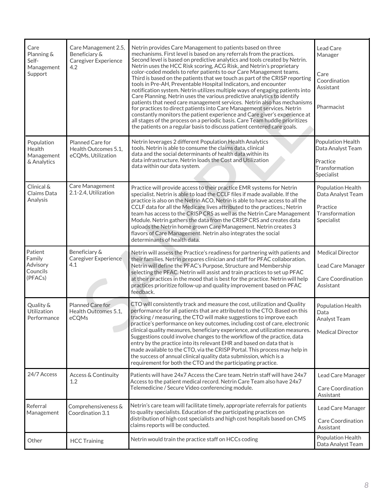| Care<br>Planning &<br>Self-<br>Management<br>Support | Care Management 2.5,<br>Beneficiary &<br><b>Caregiver Experience</b><br>4.2 | Netrin provides Care Management to patients based on three<br>mechanisms. First level is based on any referrals from the practices.<br>Second level is based on predictive analytics and tools created by Netrin.<br>Netrin uses the HCC Risk scoring, ACG Risk, and Netrin's proprietary<br>color-coded models to refer patients to our Care Management teams.<br>Third is based on the patients that we touch as part of the CRISP reporting<br>tools in Pre-AH, Preventable Hospital Indicators, and encounter<br>notification system. Netrin utilizes multiple ways of engaging patients into<br>Care Planning. Netrin uses the various predictive analytics to identify<br>patients that need care management services. Netrin also has mechanisms<br>for practices to direct patients into Care Management services. Netrin<br>constantly monitors the patient experience and Care giver's experience at<br>all stages of the process on a periodic basis. Care Team huddle prioritizes<br>the patients on a regular basis to discuss patient centered care goals. | Lead Care<br>Manager<br>Care<br>Coordination<br>Assistant<br>Pharmacist            |
|------------------------------------------------------|-----------------------------------------------------------------------------|--------------------------------------------------------------------------------------------------------------------------------------------------------------------------------------------------------------------------------------------------------------------------------------------------------------------------------------------------------------------------------------------------------------------------------------------------------------------------------------------------------------------------------------------------------------------------------------------------------------------------------------------------------------------------------------------------------------------------------------------------------------------------------------------------------------------------------------------------------------------------------------------------------------------------------------------------------------------------------------------------------------------------------------------------------------------------|------------------------------------------------------------------------------------|
| Population<br>Health<br>Management<br>& Analytics    | Planned Care for<br>Health Outcomes 5.1,<br>eCQMs, Utilization              | Netrin leverages 2 different Population Health Analytics<br>tools. Netrin is able to consume the claims data, clinical<br>data and the social determinants of health data within its<br>data infrastructure. Netrin loads the Cost and Utilization<br>data within our data system.                                                                                                                                                                                                                                                                                                                                                                                                                                                                                                                                                                                                                                                                                                                                                                                       | Population Health<br>Data Analyst Team<br>Practice<br>Transformation<br>Specialist |
| Clinical &<br>Claims Data<br>Analysis                | Care Management<br>2.1-2.4, Utilization                                     | Practice will provide access to their practice EMR systems for Netrin<br>specialist. Netrin is able to load the CCLF files if made available. If the<br>practice is also on the Netrin ACO, Netrin is able to have access to all the<br>CCLF data for all the Medicare lives attributed to the practices.; Netrin<br>team has access to the CRISP CRS as well as the Netrin Care Management<br>Module. Netrin gathers the data from the CRISP CRS and creates data<br>uploads the Netrin home grown Care Management. Netrin creates 3<br>flavors of Care Management. Netrin also integrates the social<br>determinants of health data.                                                                                                                                                                                                                                                                                                                                                                                                                                   | Population Health<br>Data Analyst Team<br>Practice<br>Transformation<br>Specialist |
| Patient<br>Family<br>Advisory<br>Councils<br>(PFACs) | Beneficiary &<br><b>Caregiver Experience</b><br>4.1                         | Netrin will assess the Practice's readiness for partnering with patients and<br>their families. Netrin prepares clinician and staff for PFAC collaboration.<br>Netrin will define the PFAC's Purpose, Structure and Membership<br>selecting the PFAC. Netrin will assist and train practices to set up PFAC<br>at their practices in the mood that is best for the practice. Netrin will help<br>practices prioritize follow-up and quality improvement based on PFAC<br>feedback.                                                                                                                                                                                                                                                                                                                                                                                                                                                                                                                                                                                       | <b>Medical Director</b><br>Lead Care Manager<br>Care Coordination<br>Assistant     |
| Quality &<br>Utilization<br>Performance              | Planned Care for<br>Health Outcomes 5.1,<br>eCQMs                           | CTO will consistently track and measure the cost, utilization and Quality<br>performance for all patients that are attributed to the CTO. Based on this<br>tracking / measuring, the CTO will make suggestions to improve each<br>practice's performance on key outcomes, including cost of care, electronic<br>clinical quality measures, beneficiary experience, and utilization measures.<br>Suggestions could involve changes to the workflow of the practice, data<br>entry by the practice into its relevant EHR and based on data that is<br>made available to the CTO, via the CRISP Portal. This process may help in<br>the success of annual clinical quality data submission, which is a<br>requirement for both the CTO and the participating practice.                                                                                                                                                                                                                                                                                                      | Population Health<br>Data<br>Analyst Team<br><b>Medical Director</b>               |
| 24/7 Access                                          | Access & Continuity<br>$1.2\,$                                              | Patients will have 24x7 Access the Care team. Netrin staff will have 24x7<br>Access to the patient medical record. Netrin Care Team also have 24x7<br>Telemedicine / Secure Video conferencing module.                                                                                                                                                                                                                                                                                                                                                                                                                                                                                                                                                                                                                                                                                                                                                                                                                                                                   | Lead Care Manager<br>Care Coordination<br>Assistant                                |
| Referral<br>Management                               | Comprehensiveness &<br>Coordination 3.1                                     | Netrin's care team will facilitate timely, appropriate referrals for patients<br>to quality specialists. Education of the participating practices on<br>distribution of high cost specialists and high cost hospitals based on CMS<br>claims reports will be conducted.                                                                                                                                                                                                                                                                                                                                                                                                                                                                                                                                                                                                                                                                                                                                                                                                  | Lead Care Manager<br>Care Coordination<br>Assistant                                |
| Other                                                | <b>HCC Training</b>                                                         | Netrin would train the practice staff on HCCs coding                                                                                                                                                                                                                                                                                                                                                                                                                                                                                                                                                                                                                                                                                                                                                                                                                                                                                                                                                                                                                     | Population Health<br>Data Analyst Team                                             |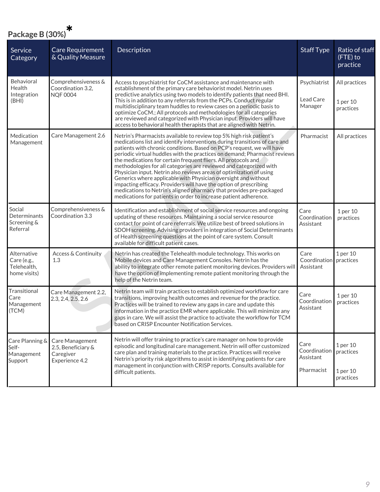| Package B (30%)                                           |                                                                      |                                                                                                                                                                                                                                                                                                                                                                                                                                                                                                                                                                                                                                                                                                                                                                                                           |                                                 |                                                |
|-----------------------------------------------------------|----------------------------------------------------------------------|-----------------------------------------------------------------------------------------------------------------------------------------------------------------------------------------------------------------------------------------------------------------------------------------------------------------------------------------------------------------------------------------------------------------------------------------------------------------------------------------------------------------------------------------------------------------------------------------------------------------------------------------------------------------------------------------------------------------------------------------------------------------------------------------------------------|-------------------------------------------------|------------------------------------------------|
| Service<br>Category                                       | <b>Care Requirement</b><br>& Quality Measure                         | Description                                                                                                                                                                                                                                                                                                                                                                                                                                                                                                                                                                                                                                                                                                                                                                                               | <b>Staff Type</b>                               | Ratio of staff<br>(FTE) to<br>practice         |
| <b>Behavioral</b><br>Health<br>Integration<br>(BHI)       | Comprehensiveness &<br>Coordination 3.2,<br><b>NQF 0004</b>          | Access to psychiatrist for CoCM assistance and maintenance with<br>establishment of the primary care behaviorist model. Netrin uses<br>predictive analytics using two models to identify patients that need BHI.<br>This is in addition to any referrals from the PCPs. Conduct regular<br>multidisciplinary team huddles to review cases on a periodic basis to<br>optimize CoCM.; All protocols and methodologies for all categories<br>are reviewed and categorized with Physician input. Providers will have<br>access to behavioral health therapists that are aligned with Netrin.                                                                                                                                                                                                                  | Psychiatrist<br>Lead Care<br>Manager            | All practices<br>1 per 10<br>practices         |
| Medication<br>Management                                  | Care Management 2.6                                                  | Netrin's Pharmacists available to review top 5% high risk patient's<br>medications list and identify interventions during transitions of care and<br>patients with chronic conditions. Based on PCP's request, we will have<br>periodic virtual huddles with the practices on demand; Pharmacist reviews<br>the medications for certain frequent fliers. All protocols and<br>methodologies for all categories are reviewed and categorized with<br>Physician input. Netrin also reviews areas of optimization of using<br>Generics where applicable with Physician oversight and without<br>impacting efficacy. Providers will have the option of prescribing<br>medications to Netrin's aligned pharmacy that provides pre-packaged<br>medications for patients in order to increase patient adherence. | Pharmacist                                      | All practices                                  |
| Social<br>Determinants<br>Screening &<br>Referral         | Comprehensiveness &<br>Coordination 3.3                              | Identification and establishment of social service resources and ongoing<br>updating of these resources. Maintaining a social service resource<br>contact for point of care referrals. We utilize best of breed solutions in<br>SDOH screening. Advising providers in integration of Social Determinants<br>of Health screening questions at the point of care system. Consult<br>available for difficult patient cases.                                                                                                                                                                                                                                                                                                                                                                                  | Care<br>Coordination<br>Assistant               | 1 per 10<br>practices                          |
| Alternative<br>Care (e.g.,<br>Telehealth,<br>home visits) | Access & Continuity<br>1.3                                           | Netrin has created the Telehealth module technology. This works on<br>Mobile devices and Care Management Consoles. Netrin has the<br>ability to integrate other remote patient monitoring devices. Providers will<br>have the option of implementing remote patient monitoring through the<br>help of the Netrin team.                                                                                                                                                                                                                                                                                                                                                                                                                                                                                    | Care<br>Coordination practices<br>Assistant     | 1 per 10                                       |
| Transitional<br>Care<br>Management<br>(TCM)               | Care Management 2.2,<br>2.3, 2.4, 2.5, 2.6                           | Netrin team will train practices to establish optimized workflow for care<br>transitions, improving health outcomes and revenue for the practice.<br>Practices will be trained to review any gaps in care and update this<br>information in the practice EMR where applicable. This will minimize any<br>gaps in care. We will assist the practice to activate the workflow for TCM<br>based on CRISP Encounter Notification Services.                                                                                                                                                                                                                                                                                                                                                                    | Care<br>Coordination<br>Assistant               | 1 per 10<br>practices                          |
| Care Planning &<br>Self-<br>Management<br>Support         | Care Management<br>2.5, Beneficiary &<br>Caregiver<br>Experience 4.2 | Netrin will offer training to practice's care manager on how to provide<br>episodic and longitudinal care management. Netrin will offer customized<br>care plan and training materials to the practice. Practices will receive<br>Netrin's priority risk algorithms to assist in identifying patients for care<br>management in conjunction with CRISP reports. Consults available for<br>difficult patients.                                                                                                                                                                                                                                                                                                                                                                                             | Care<br>Coordination<br>Assistant<br>Pharmacist | 1 per 10<br>practices<br>1 per 10<br>practices |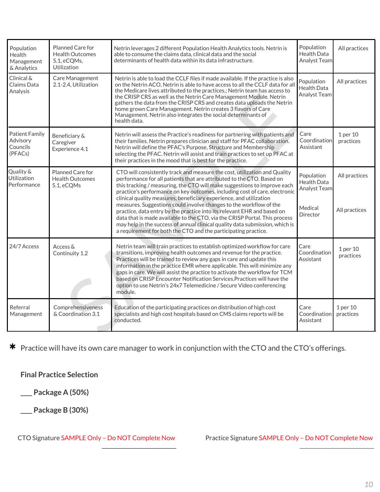| Population<br>Health<br>Management<br>& Analytics        | Planned Care for<br><b>Health Outcomes</b><br>5.1, eCQMs,<br><b>Utilization</b> | Netrin leverages 2 different Population Health Analytics tools. Netrin is<br>able to consume the claims data, clinical data and the social<br>determinants of health data within its data infrastructure.                                                                                                                                                                                                                                                                                                                                                                                                                                                                                                                                                           | Population<br>Health Data<br>Analyst Team                        | All practices                  |
|----------------------------------------------------------|---------------------------------------------------------------------------------|---------------------------------------------------------------------------------------------------------------------------------------------------------------------------------------------------------------------------------------------------------------------------------------------------------------------------------------------------------------------------------------------------------------------------------------------------------------------------------------------------------------------------------------------------------------------------------------------------------------------------------------------------------------------------------------------------------------------------------------------------------------------|------------------------------------------------------------------|--------------------------------|
| Clinical &<br>Claims Data<br>Analysis                    | Care Management<br>2.1-2.4, Utilization                                         | Netrin is able to load the CCLF files if made available. If the practice is also<br>on the Netrin ACO, Netrin is able to have access to all the CCLF data for all<br>the Medicare lives attributed to the practices.; Netrin team has access to<br>the CRISP CRS as well as the Netrin Care Management Module. Netrin<br>gathers the data from the CRISP CRS and creates data uploads the Netrin<br>home grown Care Management. Netrin creates 3 flavors of Care<br>Management. Netrin also integrates the social determinants of<br>health data.                                                                                                                                                                                                                   | Population<br><b>Health Data</b><br>Analyst Team                 | All practices                  |
| <b>Patient Family</b><br>Advisory<br>Councils<br>(PFACs) | Beneficiary &<br>Caregiver<br>Experience 4.1                                    | Netrin will assess the Practice's readiness for partnering with patients and<br>their families. Netrin prepares clinician and staff for PFAC collaboration.<br>Netrin will define the PFAC's Purpose, Structure and Membership<br>selecting the PFAC. Netrin will assist and train practices to set up PFAC at<br>their practices in the mood that is best for the practice.                                                                                                                                                                                                                                                                                                                                                                                        | Care<br>Coordination<br>Assistant                                | 1 per 10<br>practices          |
| Quality &<br><b>Utilization</b><br>Performance           | Planned Care for<br><b>Health Outcomes</b><br>5.1, eCQMs                        | CTO will consistently track and measure the cost, utilization and Quality<br>performance for all patients that are attributed to the CTO. Based on<br>this tracking / measuring, the CTO will make suggestions to improve each<br>practice's performance on key outcomes, including cost of care, electronic<br>clinical quality measures, beneficiary experience, and utilization<br>measures. Suggestions could involve changes to the workflow of the<br>practice, data entry by the practice into its relevant EHR and based on<br>data that is made available to the CTO, via the CRISP Portal. This process<br>may help in the success of annual clinical quality data submission, which is<br>a requirement for both the CTO and the participating practice. | Population<br>Health Data<br>Analyst Team<br>Medical<br>Director | All practices<br>All practices |
| 24/7 Access                                              | Access &<br>Continuity 1.2                                                      | Netrin team will train practices to establish optimized workflow for care<br>transitions, improving health outcomes and revenue for the practice.<br>Practices will be trained to review any gaps in care and update this<br>information in the practice EMR where applicable. This will minimize any<br>gaps in care. We will assist the practice to activate the workflow for TCM<br>based on CRISP Encounter Notification Services. Practices will have the<br>option to use Netrin's 24x7 Telemedicine / Secure Video conferencing<br>module.                                                                                                                                                                                                                   | Care<br>Coordination<br>Assistant                                | 1 per 10<br>practices          |
| Referral<br>Management                                   | Comprehensiveness<br>& Coordination 3.1                                         | Education of the participating practices on distribution of high cost<br>specialists and high cost hospitals based on CMS claims reports will be<br>conducted.                                                                                                                                                                                                                                                                                                                                                                                                                                                                                                                                                                                                      | Care<br>Coordination<br>Assistant                                | 1 per 10<br>practices          |

\* Practice will have its own care manager to work in conjunction with the CTO and the CTO's offerings.

**Final Practice Selection**

**\_\_\_\_ Package A (50%)**

**\_\_\_\_ Package B (30%)**

CTO Signature SAMPLE Only – Do NOT Complete Now \_\_\_\_\_\_\_\_\_\_\_\_\_\_\_\_\_\_\_\_\_\_\_\_\_\_\_\_\_

Practice Signature SAMPLE Only – Do NOT Complete Now \_\_\_\_\_\_\_\_\_\_\_\_\_\_\_\_\_\_\_\_\_\_\_\_\_\_\_\_\_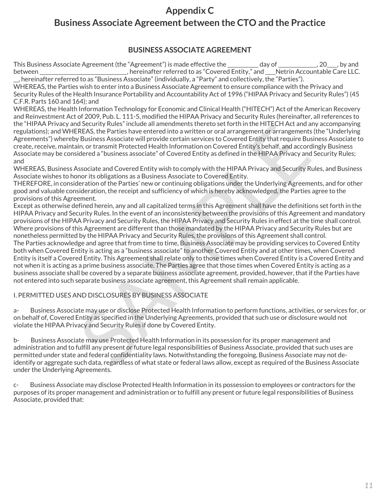## **Appendix C Business Associate Agreement between the CTO and the Practice**

## **BUSINESS ASSOCIATE AGREEMENT**

This Business Associate Agreement (the "Agreement") is made effective the \_\_\_\_\_\_\_\_\_\_ day of \_\_\_\_\_\_\_\_\_\_\_, 20\_\_\_, by and between \_\_\_\_\_\_\_\_\_\_\_\_\_\_\_\_\_\_\_\_\_\_\_\_\_, hereinafter referred to as "Covered Entity," and \_\_\_Netrin Accountable Care LLC. \_\_, hereinafter referred to as "Business Associate" (individually, a "Party" and collectively, the "Parties").

WHEREAS, the Parties wish to enter into a Business Associate Agreement to ensure compliance with the Privacy and Security Rules of the Health Insurance Portability and Accountability Act of 1996 ("HIPAA Privacy and Security Rules") (45 C.F.R. Parts 160 and 164); and

WHEREAS, the Health Information Technology for Economic and Clinical Health ("HITECH") Act of the American Recovery and Reinvestment Act of 2009, Pub. L. 111-5, modified the HIPAA Privacy and Security Rules (hereinafter, all references to the "HIPAA Privacy and Security Rules" include all amendments thereto set forth in the HITECH Act and any accompanying regulations); and WHEREAS, the Parties have entered into a written or oral arrangement or arrangements (the "Underlying Agreements") whereby Business Associate will provide certain services to Covered Entity that require Business Associate to create, receive, maintain, or transmit Protected Health Information on Covered Entity's behalf, and accordingly Business Associate may be considered a "business associate" of Covered Entity as defined in the HIPAA Privacy and Security Rules; and

WHEREAS, Business Associate and Covered Entity wish to comply with the HIPAA Privacy and Security Rules, and Business Associate wishes to honor its obligations as a Business Associate to Covered Entity.

THEREFORE, in consideration of the Parties' new or continuing obligations under the Underlying Agreements, and for other good and valuable consideration, the receipt and sufficiency of which is hereby acknowledged, the Parties agree to the provisions of this Agreement.

In section, then simulate all amendments thereto set form in the Hill-CH Act and any accurate a particulate and sections, the Parties have entered into a written or oral arrangement of arrangements (the "BERAS, the Parties Except as otherwise defined herein, any and all capitalized terms in this Agreement shall have the definitions set forth in the HIPAA Privacy and Security Rules. In the event of an inconsistency between the provisions of this Agreement and mandatory provisions of the HIPAA Privacy and Security Rules, the HIPAA Privacy and Security Rules in effect at the time shall control. Where provisions of this Agreement are different than those mandated by the HIPAA Privacy and Security Rules but are nonetheless permitted by the HIPAA Privacy and Security Rules, the provisions of this Agreement shall control. The Parties acknowledge and agree that from time to time, Business Associate may be providing services to Covered Entity both when Covered Entity is acting as a "business associate" to another Covered Entity and at other times, when Covered Entity is itself a Covered Entity. This Agreement shall relate only to those times when Covered Entity is a Covered Entity and not when it is acting as a prime business associate. The Parties agree that those times when Covered Entity is acting as a business associate shall be covered by a separate business associate agreement, provided, however, that if the Parties have not entered into such separate business associate agreement, this Agreement shall remain applicable.

## I. PERMITTED USES AND DISCLOSURES BY BUSINESS ASSOCIATE

a- Business Associate may use or disclose Protected Health Information to perform functions, activities, or services for, or on behalf of, Covered Entity as specified in the Underlying Agreements, provided that such use or disclosure would not violate the HIPAA Privacy and Security Rules if done by Covered Entity.

b- Business Associate may use Protected Health Information in its possession for its proper management and administration and to fulfill any present or future legal responsibilities of Business Associate, provided that such uses are permitted under state and federal confidentiality laws. Notwithstanding the foregoing, Business Associate may not deidentify or aggregate such data, regardless of what state or federal laws allow, except as required of the Business Associate under the Underlying Agreements.

c- Business Associate may disclose Protected Health Information in its possession to employees or contractors for the purposes of its proper management and administration or to fulfill any present or future legal responsibilities of Business Associate, provided that: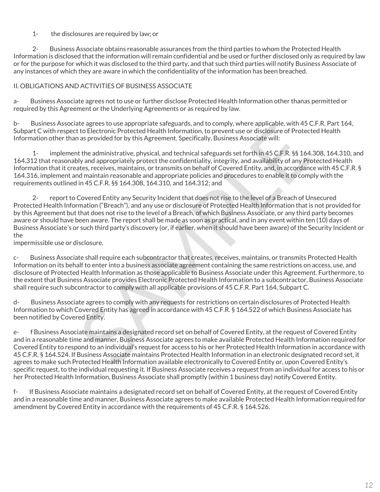#### 1- the disclosures are required by law; or

 2- Business Associate obtains reasonable assurances from the third parties to whom the Protected Health Information is disclosed that the information will remain confidential and be used or further disclosed only as required by law or for the purpose for which it was disclosed to the third party, and that such third parties will notify Business Associate of any instances of which they are aware in which the confidentiality of the information has been breached.

#### II. OBLIGATIONS AND ACTIVITIES OF BUSINESS ASSOCIATE

a- Business Associate agrees not to use or further disclose Protected Health Information other thanas permitted or required by this Agreement or the Underlying Agreements or as required by law.

b- Business Associate agrees to use appropriate safeguards, and to comply, where applicable, with 45 C.F.R. Part 164, Subpart C with respect to Electronic Protected Health Information, to prevent use or disclosure of Protected Health Information other than as provided for by this Agreement. Specifically, Business Associate will:

 1- implement the administrative, physical, and technical safeguards set forth in 45 C.F.R. §§ 164.308, 164.310, and 164.312 that reasonably and appropriately protect the confidentiality, integrity, and availability of any Protected Health Information that it creates, receives, maintains, or transmits on behalf of Covered Entity, and, in accordance with 45 C.F.R. § 164.316, implement and maintain reasonable and appropriate policies and procedures to enable it to comply with the requirements outlined in 45 C.F.R. §§ 164.308, 164.310, and 164.312; and

ale agrees to tote alphorate sareguards, and to comply, where a pplicalible, whil the Checked Health Information, to prevent use or disclosure of Protected Health information, to prevent use or disclosure of Protected Heal 2- report to Covered Entity any Security Incident that does not rise to the level of a Breach of Unsecured Protected Health Information ("Breach"), and any use or disclosure of Protected Health Information that is not provided for by this Agreement but that does not rise to the level of a Breach, of which Business Associate, or any third party becomes aware or should have been aware. The report shall be made as soon as practical, and in any event within ten (10) days of Business Associate's or such third party's discovery (or, if earlier, when it should have been aware) of the Security Incident or the

impermissible use or disclosure.

c- Business Associate shall require each subcontractor that creates, receives, maintains, or transmits Protected Health Information on its behalf to enter into a business associate agreement containing the same restrictions on access, use, and disclosure of Protected Health Information as those applicable to Business Associate under this Agreement. Furthermore, to the extent that Business Associate provides Electronic Protected Health Information to a subcontractor, Business Associate shall require such subcontractor to comply with all applicable provisions of 45 C.F.R. Part 164, Subpart C.

d- Business Associate agrees to comply with any requests for restrictions on certain disclosures of Protected Health Information to which Covered Entity has agreed in accordance with 45 C.F.R. § 164.522 of which Business Associate has been notified by Covered Entity.

e- f Business Associate maintains a designated record set on behalf of Covered Entity, at the request of Covered Entity and in a reasonable time and manner, Business Associate agrees to make available Protected Health Information required for Covered Entity to respond to an individual's request for access to his or her Protected Health Information in accordance with 45 C.F.R. § 164.524. If Business Associate maintains Protected Health Information in an electronic designated record set, it agrees to make such Protected Health Information available electronically to Covered Entity or, upon Covered Entity's specific request, to the individual requesting it. If Business Associate receives a request from an individual for access to his or her Protected Health Information, Business Associate shall promptly (within 1 business day) notify Covered Entity.

f- If Business Associate maintains a designated record set on behalf of Covered Entity, at the request of Covered Entity and in a reasonable time and manner, Business Associate agrees to make available Protected Health Information required for amendment by Covered Entity in accordance with the requirements of 45 C.F.R. § 164.526.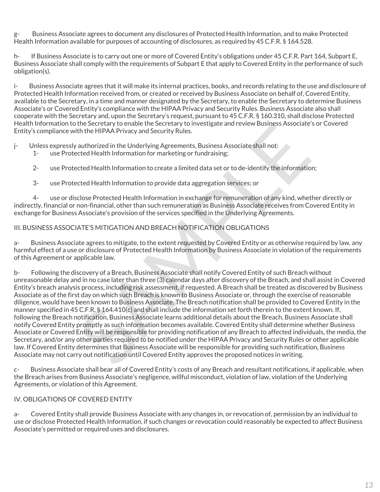g- Business Associate agrees to document any disclosures of Protected Health Information, and to make Protected Health Information available for purposes of accounting of disclosures, as required by 45 C.F.R. § 164.528.

h- If Business Associate is to carry out one or more of Covered Entity's obligations under 45 C.F.R. Part 164, Subpart E, Business Associate shall comply with the requirements of Subpart E that apply to Covered Entity in the performance of such obligation(s).

i- Business Associate agrees that it will make its internal practices, books, and records relating to the use and disclosure of Protected Health Information received from, or created or received by Business Associate on behalf of, Covered Entity, available to the Secretary, in a time and manner designated by the Secretary, to enable the Secretary to determine Business Associate's or Covered Entity's compliance with the HIPAA Privacy and Security Rules. Business Associate also shall cooperate with the Secretary and, upon the Secretary's request, pursuant to 45 C.F.R. § 160.310, shall disclose Protected Health Information to the Secretary to enable the Secretary to investigate and review Business Associate's or Covered Entity's compliance with the HIPAA Privacy and Security Rules.

j- Unless expressly authorized in the Underlying Agreements, Business Associate shall not:

- 1- use Protected Health Information for marketing or fundraising;
- 2- use Protected Health Information to create a limited data set or to de-identify the information;
- 3- use Protected Health Information to provide data aggregation services; or

 4- use or disclose Protected Health Information in exchange for remuneration of any kind, whether directly or indirectly, financial or non-financial, other than such remuneration as Business Associate receives from Covered Entity in exchange for Business Associate's provision of the services specified in the Underlying Agreements.

#### III. BUSINESS ASSOCIATE'S MITIGATION AND BREACH NOTIFICATION OBLIGATIONS

a- Business Associate agrees to mitigate, to the extent requested by Covered Entity or as otherwise required by law, any harmful effect of a use or disclosure of Protected Health Information by Business Associate in violation of the requirements of this Agreement or applicable law.

Ine seterative to method Protected Health Information and the method of the method of the seterative of the method of the method of the method of the method of the method of the method of the protection of method Health In b- Following the discovery of a Breach, Business Associate shall notify Covered Entity of such Breach without unreasonable delay and in no case later than three (3) calendar days after discovery of the Breach, and shall assist in Covered Entity's breach analysis process, including risk assessment, if requested. A Breach shall be treated as discovered by Business Associate as of the first day on which such Breach is known to Business Associate or, through the exercise of reasonable diligence, would have been known to Business Associate. The Breach notification shall be provided to Covered Entity in the manner specified in 45 C.F.R. § 164.410(c) and shall include the information set forth therein to the extent known. If, following the Breach notification, Business Associate learns additional details about the Breach, Business Associate shall notify Covered Entity promptly as such information becomes available. Covered Entity shall determine whether Business Associate or Covered Entity will be responsible for providing notification of any Breach to affected individuals, the media, the Secretary, and/or any other parties required to be notified under the HIPAA Privacy and Security Rules or other applicable law. If Covered Entity determines that Business Associate will be responsible for providing such notification, Business Associate may not carry out notification until Covered Entity approves the proposed notices in writing.

c- Business Associate shall bear all of Covered Entity's costs of any Breach and resultant notifications, if applicable, when the Breach arises from Business Associate's negligence, willful misconduct, violation of law, violation of the Underlying Agreements, or violation of this Agreement.

#### IV. OBLIGATIONS OF COVERED ENTITY

a- Covered Entity shall provide Business Associate with any changes in, or revocation of, permission by an individual to use or disclose Protected Health Information, if such changes or revocation could reasonably be expected to affect Business Associate's permitted or required uses and disclosures.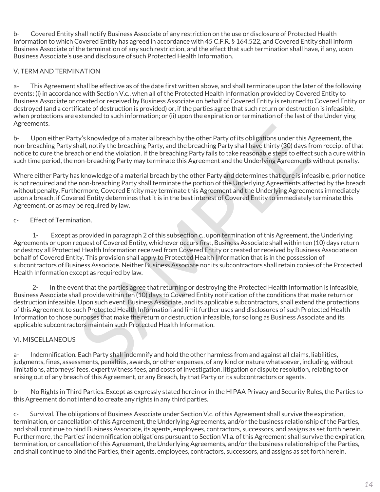b- Covered Entity shall notify Business Associate of any restriction on the use or disclosure of Protected Health Information to which Covered Entity has agreed in accordance with 45 C.F.R. § 164.522, and Covered Entity shall inform Business Associate of the termination of any such restriction, and the effect that such termination shall have, if any, upon Business Associate's use and disclosure of such Protected Health Information.

## V. TERM AND TERMINATION

a- This Agreement shall be effective as of the date first written above, and shall terminate upon the later of the following events: (i) in accordance with Section V.c., when all of the Protected Health Information provided by Covered Entity to Business Associate or created or received by Business Associate on behalf of Covered Entity is returned to Covered Entity or destroyed (and a certificate of destruction is provided) or, if the parties agree that such return or destruction is infeasible, when protections are extended to such information; or (ii) upon the expiration or termination of the last of the Underlying Agreements.

b- Upon either Party's knowledge of a material breach by the other Party of its obligations under this Agreement, the non-breaching Party shall, notify the breaching Party, and the breaching Party shall have thirty (30) days from receipt of that notice to cure the breach or end the violation. If the breaching Party fails to take reasonable steps to effect such a cure within such time period, the non-breaching Party may terminate this Agreement and the Underlying Agreements without penalty.

Where either Party has knowledge of a material breach by the other Party and determines that cure is infeasible, prior notice is not required and the non-breaching Party shall terminate the portion of the Underlying Agreements affected by the breach without penalty. Furthermore, Covered Entity may terminate this Agreement and the Underlying Agreements immediately upon a breach, if Covered Entity determines that it is in the best interest of Covered Entity to immediately terminate this Agreement, or as may be required by law.

### c- Effect of Termination.

ty's knowledge of a material breach by the other Party of its obligations under this Agreen<br>hall, notify the breaching Party, and the breaching Party shall have thirty (30) days from re<br>cho re ond the violation. If the bre 1- Except as provided in paragraph 2 of this subsection c., upon termination of this Agreement, the Underlying Agreements or upon request of Covered Entity, whichever occurs first, Business Associate shall within ten (10) days return or destroy all Protected Health Information received from Covered Entity or created or received by Business Associate on behalf of Covered Entity. This provision shall apply to Protected Health Information that is in the possession of subcontractors of Business Associate. Neither Business Associate nor its subcontractors shall retain copies of the Protected Health Information except as required by law.

 2- In the event that the parties agree that returning or destroying the Protected Health Information is infeasible, Business Associate shall provide within ten (10) days to Covered Entity notification of the conditions that make return or destruction infeasible. Upon such event, Business Associate, and its applicable subcontractors, shall extend the protections of this Agreement to such Protected Health Information and limit further uses and disclosures of such Protected Health Information to those purposes that make the return or destruction infeasible, for so long as Business Associate and its applicable subcontractors maintain such Protected Health Information.

#### VI. MISCELLANEOUS

a- Indemnification. Each Party shall indemnify and hold the other harmless from and against all claims, liabilities, judgments, fines, assessments, penalties, awards, or other expenses, of any kind or nature whatsoever, including, without limitations, attorneys' fees, expert witness fees, and costs of investigation, litigation or dispute resolution, relating to or arising out of any breach of this Agreement, or any Breach, by that Party or its subcontractors or agents.

b- No Rights in Third Parties. Except as expressly stated herein or in the HIPAA Privacy and Security Rules, the Parties to this Agreement do not intend to create any rights in any third parties.

c- Survival. The obligations of Business Associate under Section V.c. of this Agreement shall survive the expiration, termination, or cancellation of this Agreement, the Underlying Agreements, and/or the business relationship of the Parties, and shall continue to bind Business Associate, its agents, employees, contractors, successors, and assigns as set forth herein. Furthermore, the Parties' indemnification obligations pursuant to Section VI.a. of this Agreement shall survive the expiration, termination, or cancellation of this Agreement, the Underlying Agreements, and/or the business relationship of the Parties, and shall continue to bind the Parties, their agents, employees, contractors, successors, and assigns as set forth herein.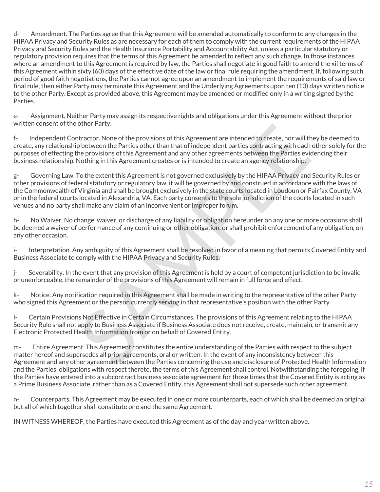d- Amendment. The Parties agree that this Agreement will be amended automatically to conform to any changes in the HIPAA Privacy and Security Rules as are necessary for each of them to comply with the current requirements of the HIPAA Privacy and Security Rules and the Health Insurance Portability and Accountability Act, unless a particular statutory or regulatory provision requires that the terms of this Agreement be amended to reflect any such change. In those instances where an amendment to this Agreement is required by law, the Parties shall negotiate in good faith to amend the xii terms of this Agreement within sixty (60) days of the effective date of the law or final rule requiring the amendment. If, following such period of good faith negotiations, the Parties cannot agree upon an amendment to implement the requirements of said law or final rule, then either Party may terminate this Agreement and the Underlying Agreements upon ten (10) days written notice to the other Party. Except as provided above, this Agreement may be amended or modified only in a writing signed by the Parties.

e- Assignment. Neither Party may assign its respective rights and obligations under this Agreement without the prior written consent of the other Party.

f- Independent Contractor. None of the provisions of this Agreement are intended to create, nor will they be deemed to create, any relationship between the Parties other than that of independent parties contracting with each other solely for the purposes of effecting the provisions of this Agreement and any other agreements between the Parties evidencing their business relationship. Nothing in this Agreement creates or is intended to create an agency relationship.

other Party,<br>
Intractor. None of the provisions of this Agreement are intended to create, nor will they be<br>
plottween the Parties other than that of independent parties contracting with each other<br>
he plottween the Parties g- Governing Law. To the extent this Agreement is not governed exclusively by the HIPAA Privacy and Security Rules or other provisions of federal statutory or regulatory law, it will be governed by and construed in accordance with the laws of the Commonwealth of Virginia and shall be brought exclusively in the state courts located in Loudoun or Fairfax County, VA or in the federal courts located in Alexandria, VA. Each party consents to the sole jurisdiction of the courts located in such venues and no party shall make any claim of an inconvenient or improper forum.

h- No Waiver. No change, waiver, or discharge of any liability or obligation hereunder on any one or more occasions shall be deemed a waiver of performance of any continuing or other obligation, or shall prohibit enforcement of any obligation, on any other occasion.

i- Interpretation. Any ambiguity of this Agreement shall be resolved in favor of a meaning that permits Covered Entity and Business Associate to comply with the HIPAA Privacy and Security Rules.

j- Severability. In the event that any provision of this Agreement is held by a court of competent jurisdiction to be invalid or unenforceable, the remainder of the provisions of this Agreement will remain in full force and effect.

k- Notice. Any notification required in this Agreement shall be made in writing to the representative of the other Party who signed this Agreement or the person currently serving in that representative's position with the other Party.

l- Certain Provisions Not Effective in Certain Circumstances. The provisions of this Agreement relating to the HIPAA Security Rule shall not apply to Business Associate if Business Associate does not receive, create, maintain, or transmit any Electronic Protected Health Information from or on behalf of Covered Entity.

m- Entire Agreement. This Agreement constitutes the entire understanding of the Parties with respect to the subject matter hereof and supersedes all prior agreements, oral or written. In the event of any inconsistency between this Agreement and any other agreement between the Parties concerning the use and disclosure of Protected Health Information and the Parties' obligations with respect thereto, the terms of this Agreement shall control. Notwithstanding the foregoing, if the Parties have entered into a subcontract business associate agreement for those times that the Covered Entity is acting as a Prime Business Associate, rather than as a Covered Entity, this Agreement shall not supersede such other agreement.

n- Counterparts. This Agreement may be executed in one or more counterparts, each of which shall be deemed an original but all of which together shall constitute one and the same Agreement.

IN WITNESS WHEREOF, the Parties have executed this Agreement as of the day and year written above.